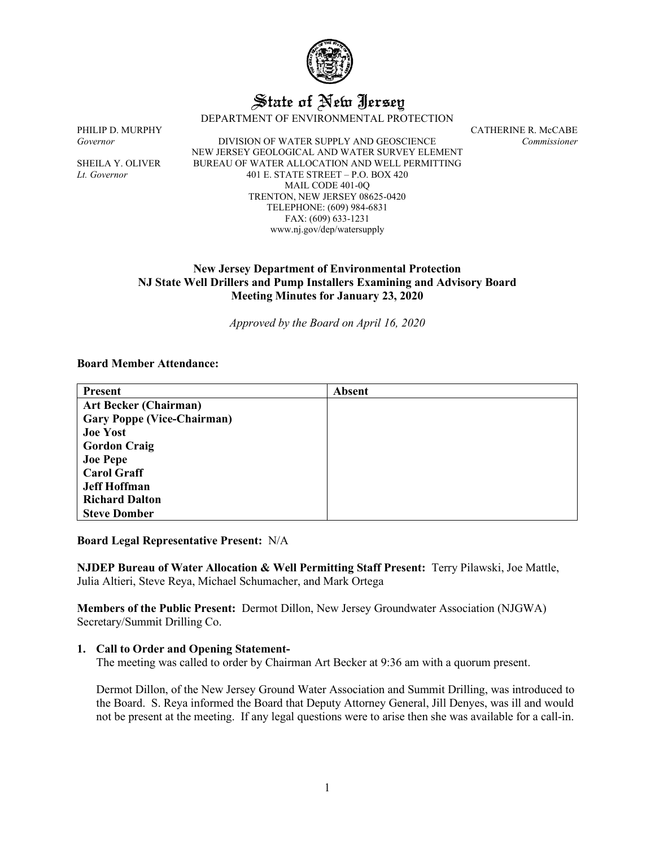

# State of New Jersey

DEPARTMENT OF ENVIRONMENTAL PROTECTION

PHILIP D. MURPHY CATHERINE R. McCABE *Governor* DIVISION OF WATER SUPPLY AND GEOSCIENCE *Commissioner* NEW JERSEY GEOLOGICAL AND WATER SURVEY ELEMENT SHEILA Y. OLIVER BUREAU OF WATER ALLOCATION AND WELL PERMITTING *Lt. Governor* 401 E. STATE STREET – P.O. BOX 420 MAIL CODE 401-0Q TRENTON, NEW JERSEY 08625-0420 TELEPHONE: (609) 984-6831 FAX: (609) 633-1231 www.nj.gov/dep/watersupply

## **New Jersey Department of Environmental Protection NJ State Well Drillers and Pump Installers Examining and Advisory Board Meeting Minutes for January 23, 2020**

*Approved by the Board on April 16, 2020*

#### **Board Member Attendance:**

| <b>Present</b>                    | <b>Absent</b> |
|-----------------------------------|---------------|
| <b>Art Becker (Chairman)</b>      |               |
| <b>Gary Poppe (Vice-Chairman)</b> |               |
| <b>Joe Yost</b>                   |               |
| <b>Gordon Craig</b>               |               |
| <b>Joe Pepe</b>                   |               |
| <b>Carol Graff</b>                |               |
| <b>Jeff Hoffman</b>               |               |
| <b>Richard Dalton</b>             |               |
| <b>Steve Domber</b>               |               |

**Board Legal Representative Present:** N/A

**NJDEP Bureau of Water Allocation & Well Permitting Staff Present:** Terry Pilawski, Joe Mattle, Julia Altieri, Steve Reya, Michael Schumacher, and Mark Ortega

**Members of the Public Present:** Dermot Dillon, New Jersey Groundwater Association (NJGWA) Secretary/Summit Drilling Co.

## **1. Call to Order and Opening Statement-**

The meeting was called to order by Chairman Art Becker at 9:36 am with a quorum present.

Dermot Dillon, of the New Jersey Ground Water Association and Summit Drilling, was introduced to the Board. S. Reya informed the Board that Deputy Attorney General, Jill Denyes, was ill and would not be present at the meeting. If any legal questions were to arise then she was available for a call-in.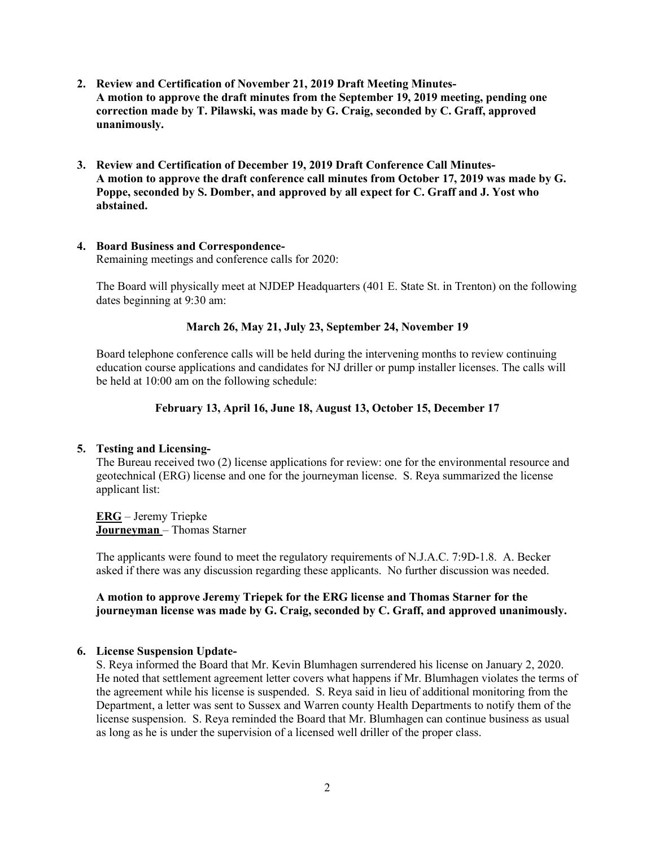- **2. Review and Certification of November 21, 2019 Draft Meeting Minutes-A motion to approve the draft minutes from the September 19, 2019 meeting, pending one correction made by T. Pilawski, was made by G. Craig, seconded by C. Graff, approved unanimously.**
- **3. Review and Certification of December 19, 2019 Draft Conference Call Minutes-A motion to approve the draft conference call minutes from October 17, 2019 was made by G. Poppe, seconded by S. Domber, and approved by all expect for C. Graff and J. Yost who abstained.**

# **4. Board Business and Correspondence-**

Remaining meetings and conference calls for 2020:

The Board will physically meet at NJDEP Headquarters (401 E. State St. in Trenton) on the following dates beginning at 9:30 am:

## **March 26, May 21, July 23, September 24, November 19**

Board telephone conference calls will be held during the intervening months to review continuing education course applications and candidates for NJ driller or pump installer licenses. The calls will be held at 10:00 am on the following schedule:

## **February 13, April 16, June 18, August 13, October 15, December 17**

## **5. Testing and Licensing-**

The Bureau received two (2) license applications for review: one for the environmental resource and geotechnical (ERG) license and one for the journeyman license. S. Reya summarized the license applicant list:

**ERG** – Jeremy Triepke **Journeyman** – Thomas Starner

The applicants were found to meet the regulatory requirements of N.J.A.C. 7:9D-1.8. A. Becker asked if there was any discussion regarding these applicants. No further discussion was needed.

## **A motion to approve Jeremy Triepek for the ERG license and Thomas Starner for the journeyman license was made by G. Craig, seconded by C. Graff, and approved unanimously.**

## **6. License Suspension Update-**

S. Reya informed the Board that Mr. Kevin Blumhagen surrendered his license on January 2, 2020. He noted that settlement agreement letter covers what happens if Mr. Blumhagen violates the terms of the agreement while his license is suspended. S. Reya said in lieu of additional monitoring from the Department, a letter was sent to Sussex and Warren county Health Departments to notify them of the license suspension. S. Reya reminded the Board that Mr. Blumhagen can continue business as usual as long as he is under the supervision of a licensed well driller of the proper class.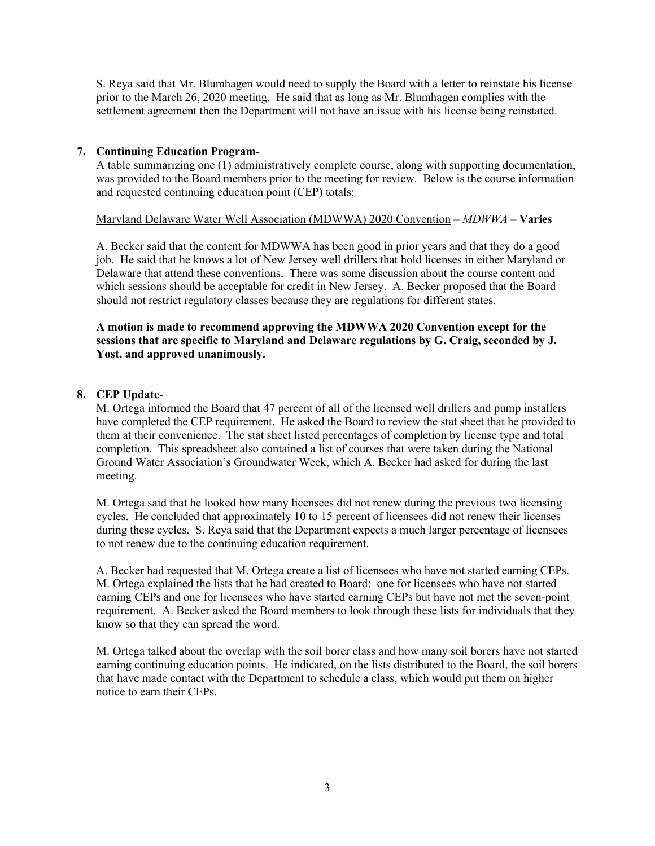S. Reya said that Mr. Blumhagen would need to supply the Board with a letter to reinstate his license prior to the March 26, 2020 meeting. He said that as long as Mr. Blumhagen complies with the settlement agreement then the Department will not have an issue with his license being reinstated.

## **7. Continuing Education Program-**

A table summarizing one (1) administratively complete course, along with supporting documentation, was provided to the Board members prior to the meeting for review. Below is the course information and requested continuing education point (CEP) totals:

## Maryland Delaware Water Well Association (MDWWA) 2020 Convention – *MDWWA* – **Varies**

A. Becker said that the content for MDWWA has been good in prior years and that they do a good job. He said that he knows a lot of New Jersey well drillers that hold licenses in either Maryland or Delaware that attend these conventions. There was some discussion about the course content and which sessions should be acceptable for credit in New Jersey. A. Becker proposed that the Board should not restrict regulatory classes because they are regulations for different states.

**A motion is made to recommend approving the MDWWA 2020 Convention except for the sessions that are specific to Maryland and Delaware regulations by G. Craig, seconded by J. Yost, and approved unanimously.**

# **8. CEP Update-**

M. Ortega informed the Board that 47 percent of all of the licensed well drillers and pump installers have completed the CEP requirement. He asked the Board to review the stat sheet that he provided to them at their convenience. The stat sheet listed percentages of completion by license type and total completion. This spreadsheet also contained a list of courses that were taken during the National Ground Water Association's Groundwater Week, which A. Becker had asked for during the last meeting.

M. Ortega said that he looked how many licensees did not renew during the previous two licensing cycles. He concluded that approximately 10 to 15 percent of licensees did not renew their licenses during these cycles. S. Reya said that the Department expects a much larger percentage of licensees to not renew due to the continuing education requirement.

A. Becker had requested that M. Ortega create a list of licensees who have not started earning CEPs. M. Ortega explained the lists that he had created to Board: one for licensees who have not started earning CEPs and one for licensees who have started earning CEPs but have not met the seven-point requirement. A. Becker asked the Board members to look through these lists for individuals that they know so that they can spread the word.

M. Ortega talked about the overlap with the soil borer class and how many soil borers have not started earning continuing education points. He indicated, on the lists distributed to the Board, the soil borers that have made contact with the Department to schedule a class, which would put them on higher notice to earn their CEPs.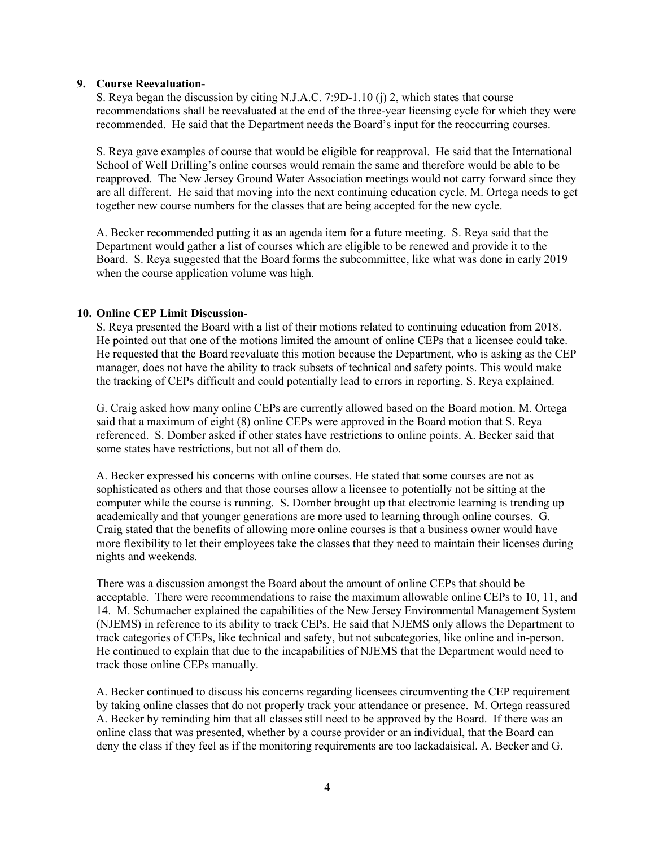#### **9. Course Reevaluation-**

S. Reya began the discussion by citing N.J.A.C. 7:9D-1.10 (j) 2, which states that course recommendations shall be reevaluated at the end of the three-year licensing cycle for which they were recommended. He said that the Department needs the Board's input for the reoccurring courses.

S. Reya gave examples of course that would be eligible for reapproval. He said that the International School of Well Drilling's online courses would remain the same and therefore would be able to be reapproved. The New Jersey Ground Water Association meetings would not carry forward since they are all different. He said that moving into the next continuing education cycle, M. Ortega needs to get together new course numbers for the classes that are being accepted for the new cycle.

A. Becker recommended putting it as an agenda item for a future meeting. S. Reya said that the Department would gather a list of courses which are eligible to be renewed and provide it to the Board. S. Reya suggested that the Board forms the subcommittee, like what was done in early 2019 when the course application volume was high.

## **10. Online CEP Limit Discussion-**

S. Reya presented the Board with a list of their motions related to continuing education from 2018. He pointed out that one of the motions limited the amount of online CEPs that a licensee could take. He requested that the Board reevaluate this motion because the Department, who is asking as the CEP manager, does not have the ability to track subsets of technical and safety points. This would make the tracking of CEPs difficult and could potentially lead to errors in reporting, S. Reya explained.

G. Craig asked how many online CEPs are currently allowed based on the Board motion. M. Ortega said that a maximum of eight (8) online CEPs were approved in the Board motion that S. Reya referenced. S. Domber asked if other states have restrictions to online points. A. Becker said that some states have restrictions, but not all of them do.

A. Becker expressed his concerns with online courses. He stated that some courses are not as sophisticated as others and that those courses allow a licensee to potentially not be sitting at the computer while the course is running. S. Domber brought up that electronic learning is trending up academically and that younger generations are more used to learning through online courses. G. Craig stated that the benefits of allowing more online courses is that a business owner would have more flexibility to let their employees take the classes that they need to maintain their licenses during nights and weekends.

There was a discussion amongst the Board about the amount of online CEPs that should be acceptable. There were recommendations to raise the maximum allowable online CEPs to 10, 11, and 14. M. Schumacher explained the capabilities of the New Jersey Environmental Management System (NJEMS) in reference to its ability to track CEPs. He said that NJEMS only allows the Department to track categories of CEPs, like technical and safety, but not subcategories, like online and in-person. He continued to explain that due to the incapabilities of NJEMS that the Department would need to track those online CEPs manually.

A. Becker continued to discuss his concerns regarding licensees circumventing the CEP requirement by taking online classes that do not properly track your attendance or presence. M. Ortega reassured A. Becker by reminding him that all classes still need to be approved by the Board. If there was an online class that was presented, whether by a course provider or an individual, that the Board can deny the class if they feel as if the monitoring requirements are too lackadaisical. A. Becker and G.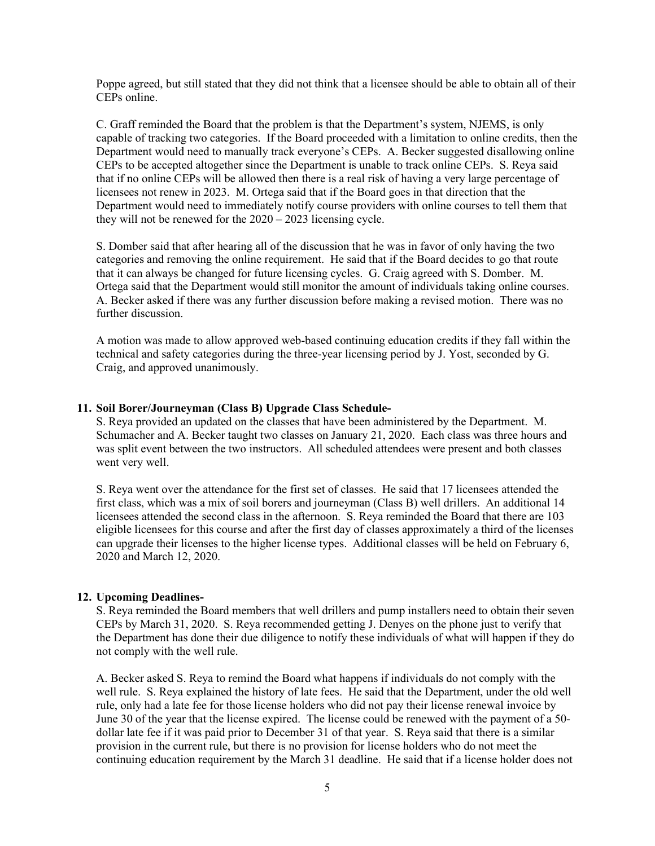Poppe agreed, but still stated that they did not think that a licensee should be able to obtain all of their CEPs online.

C. Graff reminded the Board that the problem is that the Department's system, NJEMS, is only capable of tracking two categories. If the Board proceeded with a limitation to online credits, then the Department would need to manually track everyone's CEPs. A. Becker suggested disallowing online CEPs to be accepted altogether since the Department is unable to track online CEPs. S. Reya said that if no online CEPs will be allowed then there is a real risk of having a very large percentage of licensees not renew in 2023. M. Ortega said that if the Board goes in that direction that the Department would need to immediately notify course providers with online courses to tell them that they will not be renewed for the 2020 – 2023 licensing cycle.

S. Domber said that after hearing all of the discussion that he was in favor of only having the two categories and removing the online requirement. He said that if the Board decides to go that route that it can always be changed for future licensing cycles. G. Craig agreed with S. Domber. M. Ortega said that the Department would still monitor the amount of individuals taking online courses. A. Becker asked if there was any further discussion before making a revised motion. There was no further discussion.

A motion was made to allow approved web-based continuing education credits if they fall within the technical and safety categories during the three-year licensing period by J. Yost, seconded by G. Craig, and approved unanimously.

#### **11. Soil Borer/Journeyman (Class B) Upgrade Class Schedule-**

S. Reya provided an updated on the classes that have been administered by the Department. M. Schumacher and A. Becker taught two classes on January 21, 2020. Each class was three hours and was split event between the two instructors. All scheduled attendees were present and both classes went very well.

S. Reya went over the attendance for the first set of classes. He said that 17 licensees attended the first class, which was a mix of soil borers and journeyman (Class B) well drillers. An additional 14 licensees attended the second class in the afternoon. S. Reya reminded the Board that there are 103 eligible licensees for this course and after the first day of classes approximately a third of the licenses can upgrade their licenses to the higher license types. Additional classes will be held on February 6, 2020 and March 12, 2020.

#### **12. Upcoming Deadlines-**

S. Reya reminded the Board members that well drillers and pump installers need to obtain their seven CEPs by March 31, 2020. S. Reya recommended getting J. Denyes on the phone just to verify that the Department has done their due diligence to notify these individuals of what will happen if they do not comply with the well rule.

A. Becker asked S. Reya to remind the Board what happens if individuals do not comply with the well rule. S. Reya explained the history of late fees. He said that the Department, under the old well rule, only had a late fee for those license holders who did not pay their license renewal invoice by June 30 of the year that the license expired. The license could be renewed with the payment of a 50 dollar late fee if it was paid prior to December 31 of that year. S. Reya said that there is a similar provision in the current rule, but there is no provision for license holders who do not meet the continuing education requirement by the March 31 deadline. He said that if a license holder does not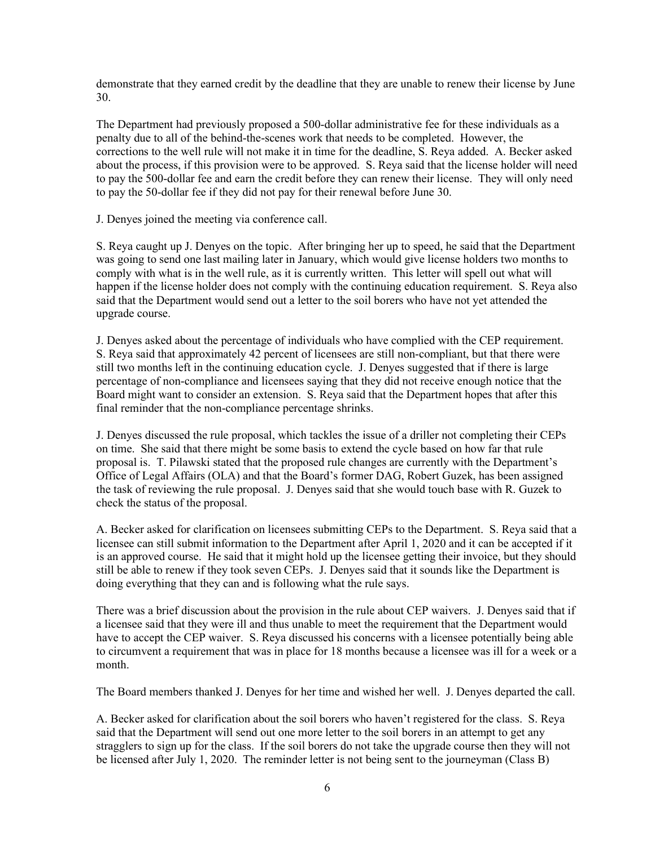demonstrate that they earned credit by the deadline that they are unable to renew their license by June 30.

The Department had previously proposed a 500-dollar administrative fee for these individuals as a penalty due to all of the behind-the-scenes work that needs to be completed. However, the corrections to the well rule will not make it in time for the deadline, S. Reya added. A. Becker asked about the process, if this provision were to be approved. S. Reya said that the license holder will need to pay the 500-dollar fee and earn the credit before they can renew their license. They will only need to pay the 50-dollar fee if they did not pay for their renewal before June 30.

J. Denyes joined the meeting via conference call.

S. Reya caught up J. Denyes on the topic. After bringing her up to speed, he said that the Department was going to send one last mailing later in January, which would give license holders two months to comply with what is in the well rule, as it is currently written. This letter will spell out what will happen if the license holder does not comply with the continuing education requirement. S. Reya also said that the Department would send out a letter to the soil borers who have not yet attended the upgrade course.

J. Denyes asked about the percentage of individuals who have complied with the CEP requirement. S. Reya said that approximately 42 percent of licensees are still non-compliant, but that there were still two months left in the continuing education cycle. J. Denyes suggested that if there is large percentage of non-compliance and licensees saying that they did not receive enough notice that the Board might want to consider an extension. S. Reya said that the Department hopes that after this final reminder that the non-compliance percentage shrinks.

J. Denyes discussed the rule proposal, which tackles the issue of a driller not completing their CEPs on time. She said that there might be some basis to extend the cycle based on how far that rule proposal is. T. Pilawski stated that the proposed rule changes are currently with the Department's Office of Legal Affairs (OLA) and that the Board's former DAG, Robert Guzek, has been assigned the task of reviewing the rule proposal. J. Denyes said that she would touch base with R. Guzek to check the status of the proposal.

A. Becker asked for clarification on licensees submitting CEPs to the Department. S. Reya said that a licensee can still submit information to the Department after April 1, 2020 and it can be accepted if it is an approved course. He said that it might hold up the licensee getting their invoice, but they should still be able to renew if they took seven CEPs. J. Denyes said that it sounds like the Department is doing everything that they can and is following what the rule says.

There was a brief discussion about the provision in the rule about CEP waivers. J. Denyes said that if a licensee said that they were ill and thus unable to meet the requirement that the Department would have to accept the CEP waiver. S. Reya discussed his concerns with a licensee potentially being able to circumvent a requirement that was in place for 18 months because a licensee was ill for a week or a month.

The Board members thanked J. Denyes for her time and wished her well. J. Denyes departed the call.

A. Becker asked for clarification about the soil borers who haven't registered for the class. S. Reya said that the Department will send out one more letter to the soil borers in an attempt to get any stragglers to sign up for the class. If the soil borers do not take the upgrade course then they will not be licensed after July 1, 2020. The reminder letter is not being sent to the journeyman (Class B)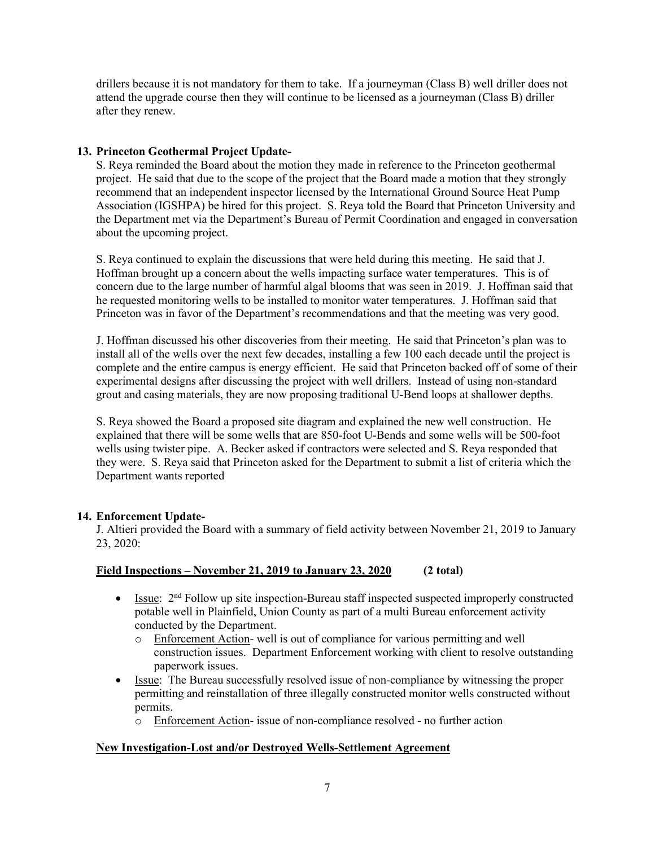drillers because it is not mandatory for them to take. If a journeyman (Class B) well driller does not attend the upgrade course then they will continue to be licensed as a journeyman (Class B) driller after they renew.

## **13. Princeton Geothermal Project Update-**

S. Reya reminded the Board about the motion they made in reference to the Princeton geothermal project. He said that due to the scope of the project that the Board made a motion that they strongly recommend that an independent inspector licensed by the International Ground Source Heat Pump Association (IGSHPA) be hired for this project. S. Reya told the Board that Princeton University and the Department met via the Department's Bureau of Permit Coordination and engaged in conversation about the upcoming project.

S. Reya continued to explain the discussions that were held during this meeting. He said that J. Hoffman brought up a concern about the wells impacting surface water temperatures. This is of concern due to the large number of harmful algal blooms that was seen in 2019. J. Hoffman said that he requested monitoring wells to be installed to monitor water temperatures. J. Hoffman said that Princeton was in favor of the Department's recommendations and that the meeting was very good.

J. Hoffman discussed his other discoveries from their meeting. He said that Princeton's plan was to install all of the wells over the next few decades, installing a few 100 each decade until the project is complete and the entire campus is energy efficient. He said that Princeton backed off of some of their experimental designs after discussing the project with well drillers. Instead of using non-standard grout and casing materials, they are now proposing traditional U-Bend loops at shallower depths.

S. Reya showed the Board a proposed site diagram and explained the new well construction. He explained that there will be some wells that are 850-foot U-Bends and some wells will be 500-foot wells using twister pipe. A. Becker asked if contractors were selected and S. Reya responded that they were. S. Reya said that Princeton asked for the Department to submit a list of criteria which the Department wants reported

## **14. Enforcement Update-**

J. Altieri provided the Board with a summary of field activity between November 21, 2019 to January 23, 2020:

# **Field Inspections – November 21, 2019 to January 23, 2020 (2 total)**

- Issue: 2<sup>nd</sup> Follow up site inspection-Bureau staff inspected suspected improperly constructed potable well in Plainfield, Union County as part of a multi Bureau enforcement activity conducted by the Department.
	- o Enforcement Action- well is out of compliance for various permitting and well construction issues. Department Enforcement working with client to resolve outstanding paperwork issues.
- Issue: The Bureau successfully resolved issue of non-compliance by witnessing the proper permitting and reinstallation of three illegally constructed monitor wells constructed without permits.
	- o Enforcement Action- issue of non-compliance resolved no further action

## **New Investigation-Lost and/or Destroyed Wells-Settlement Agreement**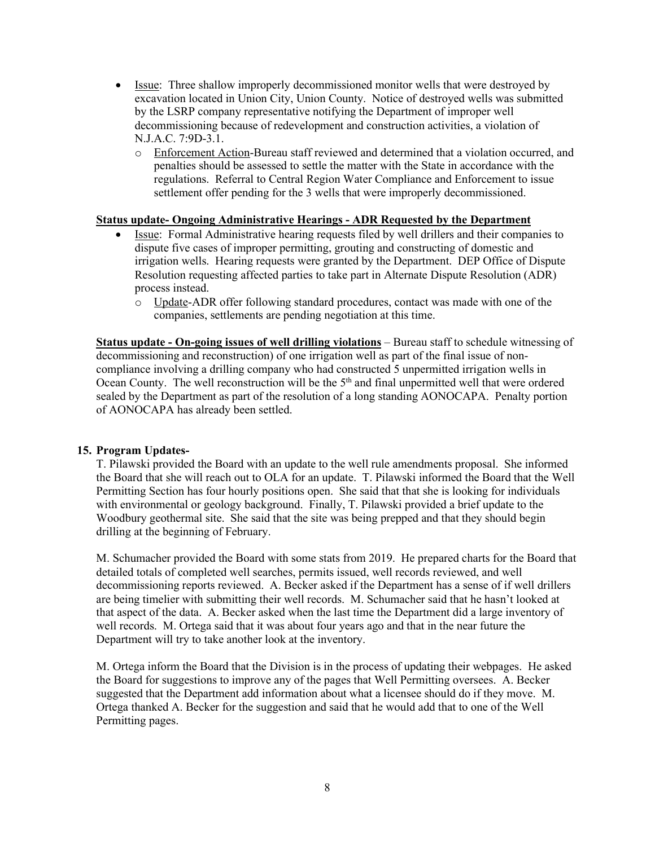- Issue: Three shallow improperly decommissioned monitor wells that were destroyed by excavation located in Union City, Union County. Notice of destroyed wells was submitted by the LSRP company representative notifying the Department of improper well decommissioning because of redevelopment and construction activities, a violation of N.J.A.C. 7:9D-3.1.
	- o Enforcement Action-Bureau staff reviewed and determined that a violation occurred, and penalties should be assessed to settle the matter with the State in accordance with the regulations. Referral to Central Region Water Compliance and Enforcement to issue settlement offer pending for the 3 wells that were improperly decommissioned.

#### **Status update- Ongoing Administrative Hearings - ADR Requested by the Department**

- Issue: Formal Administrative hearing requests filed by well drillers and their companies to dispute five cases of improper permitting, grouting and constructing of domestic and irrigation wells. Hearing requests were granted by the Department. DEP Office of Dispute Resolution requesting affected parties to take part in Alternate Dispute Resolution (ADR) process instead.
	- o Update-ADR offer following standard procedures, contact was made with one of the companies, settlements are pending negotiation at this time.

**Status update - On-going issues of well drilling violations** – Bureau staff to schedule witnessing of decommissioning and reconstruction) of one irrigation well as part of the final issue of noncompliance involving a drilling company who had constructed 5 unpermitted irrigation wells in Ocean County. The well reconstruction will be the 5<sup>th</sup> and final unpermitted well that were ordered sealed by the Department as part of the resolution of a long standing AONOCAPA. Penalty portion of AONOCAPA has already been settled.

#### **15. Program Updates-**

T. Pilawski provided the Board with an update to the well rule amendments proposal. She informed the Board that she will reach out to OLA for an update. T. Pilawski informed the Board that the Well Permitting Section has four hourly positions open. She said that that she is looking for individuals with environmental or geology background. Finally, T. Pilawski provided a brief update to the Woodbury geothermal site. She said that the site was being prepped and that they should begin drilling at the beginning of February.

M. Schumacher provided the Board with some stats from 2019. He prepared charts for the Board that detailed totals of completed well searches, permits issued, well records reviewed, and well decommissioning reports reviewed. A. Becker asked if the Department has a sense of if well drillers are being timelier with submitting their well records. M. Schumacher said that he hasn't looked at that aspect of the data. A. Becker asked when the last time the Department did a large inventory of well records. M. Ortega said that it was about four years ago and that in the near future the Department will try to take another look at the inventory.

M. Ortega inform the Board that the Division is in the process of updating their webpages. He asked the Board for suggestions to improve any of the pages that Well Permitting oversees. A. Becker suggested that the Department add information about what a licensee should do if they move. M. Ortega thanked A. Becker for the suggestion and said that he would add that to one of the Well Permitting pages.